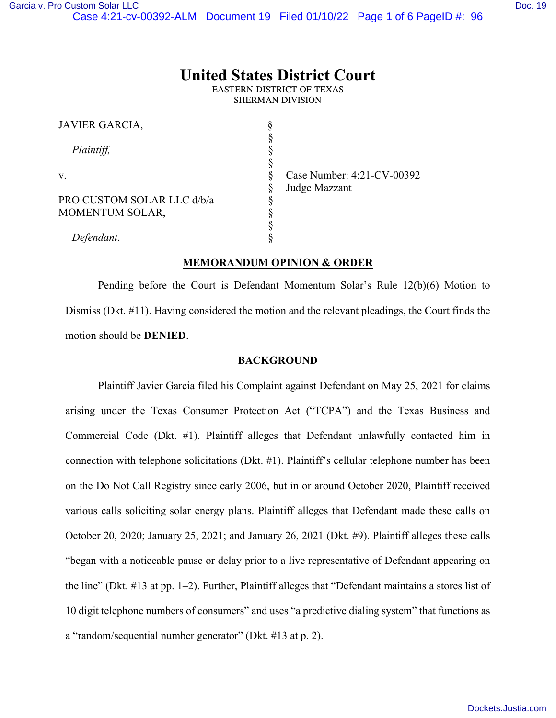# **United States District Court**

EASTERN DISTRICT OF TEXAS SHERMAN DIVISION

| JAVIER GARCIA,             |                            |
|----------------------------|----------------------------|
|                            |                            |
| Plaintiff,                 |                            |
|                            |                            |
| V.                         | Case Number: 4:21-CV-00392 |
|                            | Judge Mazzant              |
| PRO CUSTOM SOLAR LLC d/b/a |                            |
| <b>MOMENTUM SOLAR,</b>     |                            |
|                            |                            |
| Defendant.                 |                            |
|                            |                            |

### **MEMORANDUM OPINION & ORDER**

Pending before the Court is Defendant Momentum Solar's Rule 12(b)(6) Motion to Dismiss (Dkt. #11). Having considered the motion and the relevant pleadings, the Court finds the motion should be **DENIED**.

### **BACKGROUND**

Plaintiff Javier Garcia filed his Complaint against Defendant on May 25, 2021 for claims arising under the Texas Consumer Protection Act ("TCPA") and the Texas Business and Commercial Code (Dkt. #1). Plaintiff alleges that Defendant unlawfully contacted him in connection with telephone solicitations (Dkt. #1). Plaintiff's cellular telephone number has been on the Do Not Call Registry since early 2006, but in or around October 2020, Plaintiff received various calls soliciting solar energy plans. Plaintiff alleges that Defendant made these calls on October 20, 2020; January 25, 2021; and January 26, 2021 (Dkt. #9). Plaintiff alleges these calls "began with a noticeable pause or delay prior to a live representative of Defendant appearing on the line" (Dkt. #13 at pp. 1–2). Further, Plaintiff alleges that "Defendant maintains a stores list of 10 digit telephone numbers of consumers" and uses "a predictive dialing system" that functions as a "random/sequential number generator" (Dkt. #13 at p. 2).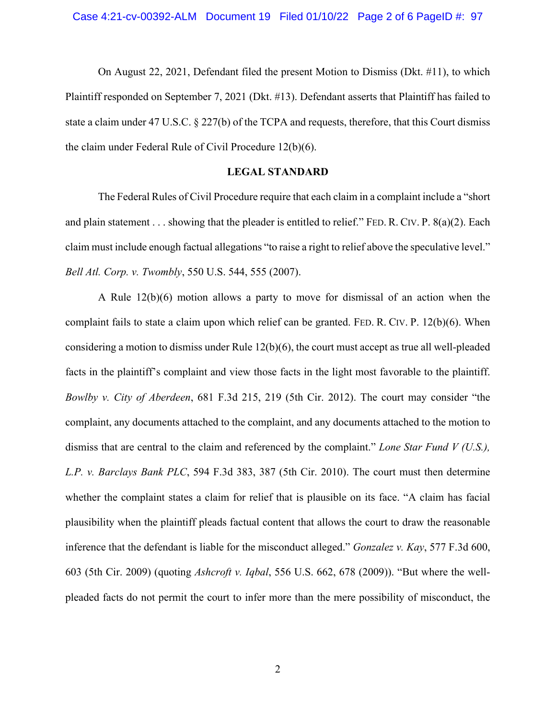On August 22, 2021, Defendant filed the present Motion to Dismiss (Dkt. #11), to which Plaintiff responded on September 7, 2021 (Dkt. #13). Defendant asserts that Plaintiff has failed to state a claim under 47 U.S.C. § 227(b) of the TCPA and requests, therefore, that this Court dismiss the claim under Federal Rule of Civil Procedure 12(b)(6).

# **LEGAL STANDARD**

The Federal Rules of Civil Procedure require that each claim in a complaint include a "short and plain statement . . . showing that the pleader is entitled to relief." FED. R. CIV. P. 8(a)(2). Each claim must include enough factual allegations "to raise a right to relief above the speculative level." *Bell Atl. Corp. v. Twombly*, 550 U.S. 544, 555 (2007).

A Rule 12(b)(6) motion allows a party to move for dismissal of an action when the complaint fails to state a claim upon which relief can be granted. FED. R. CIV. P. 12(b)(6). When considering a motion to dismiss under Rule 12(b)(6), the court must accept as true all well-pleaded facts in the plaintiff's complaint and view those facts in the light most favorable to the plaintiff. *Bowlby v. City of Aberdeen*, 681 F.3d 215, 219 (5th Cir. 2012). The court may consider "the complaint, any documents attached to the complaint, and any documents attached to the motion to dismiss that are central to the claim and referenced by the complaint." *Lone Star Fund V (U.S.), L.P. v. Barclays Bank PLC*, 594 F.3d 383, 387 (5th Cir. 2010). The court must then determine whether the complaint states a claim for relief that is plausible on its face. "A claim has facial plausibility when the plaintiff pleads factual content that allows the court to draw the reasonable inference that the defendant is liable for the misconduct alleged." *Gonzalez v. Kay*, 577 F.3d 600, 603 (5th Cir. 2009) (quoting *Ashcroft v. Iqbal*, 556 U.S. 662, 678 (2009)). "But where the wellpleaded facts do not permit the court to infer more than the mere possibility of misconduct, the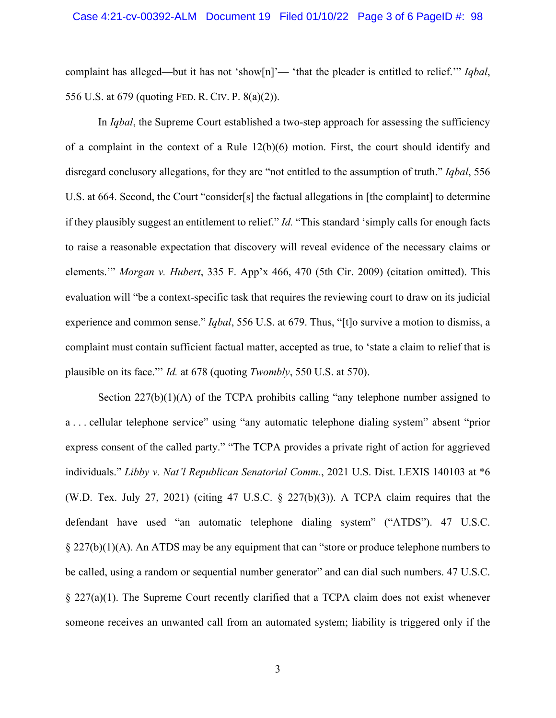complaint has alleged—but it has not 'show[n]'— 'that the pleader is entitled to relief.'" *Iqbal*, 556 U.S. at 679 (quoting FED. R. CIV. P. 8(a)(2)).

In *Iqbal*, the Supreme Court established a two-step approach for assessing the sufficiency of a complaint in the context of a Rule 12(b)(6) motion. First, the court should identify and disregard conclusory allegations, for they are "not entitled to the assumption of truth." *Iqbal*, 556 U.S. at 664. Second, the Court "consider[s] the factual allegations in [the complaint] to determine if they plausibly suggest an entitlement to relief." *Id.* "This standard 'simply calls for enough facts to raise a reasonable expectation that discovery will reveal evidence of the necessary claims or elements.'" *Morgan v. Hubert*, 335 F. App'x 466, 470 (5th Cir. 2009) (citation omitted). This evaluation will "be a context-specific task that requires the reviewing court to draw on its judicial experience and common sense." *Iqbal*, 556 U.S. at 679. Thus, "[t]o survive a motion to dismiss, a complaint must contain sufficient factual matter, accepted as true, to 'state a claim to relief that is plausible on its face."' *Id.* at 678 (quoting *Twombly*, 550 U.S. at 570).

Section 227(b)(1)(A) of the TCPA prohibits calling "any telephone number assigned to a . . . cellular telephone service" using "any automatic telephone dialing system" absent "prior express consent of the called party." "The TCPA provides a private right of action for aggrieved individuals." *Libby v. Nat'l Republican Senatorial Comm.*, 2021 U.S. Dist. LEXIS 140103 at \*6 (W.D. Tex. July 27, 2021) (citing 47 U.S.C.  $\S$  227(b)(3)). A TCPA claim requires that the defendant have used "an automatic telephone dialing system" ("ATDS"). 47 U.S.C. § 227(b)(1)(A). An ATDS may be any equipment that can "store or produce telephone numbers to be called, using a random or sequential number generator" and can dial such numbers. 47 U.S.C. § 227(a)(1). The Supreme Court recently clarified that a TCPA claim does not exist whenever someone receives an unwanted call from an automated system; liability is triggered only if the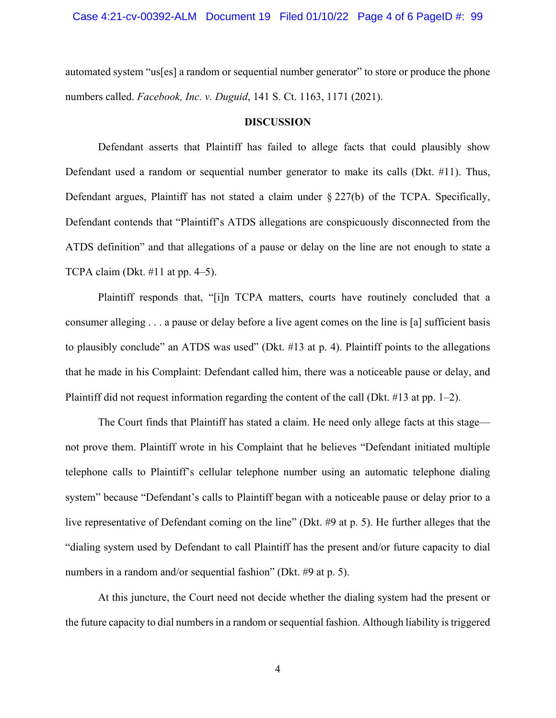automated system "us[es] a random or sequential number generator" to store or produce the phone numbers called. *Facebook, Inc. v. Duguid*, 141 S. Ct. 1163, 1171 (2021).

#### **DISCUSSION**

Defendant asserts that Plaintiff has failed to allege facts that could plausibly show Defendant used a random or sequential number generator to make its calls (Dkt. #11). Thus, Defendant argues, Plaintiff has not stated a claim under § 227(b) of the TCPA. Specifically, Defendant contends that "Plaintiff's ATDS allegations are conspicuously disconnected from the ATDS definition" and that allegations of a pause or delay on the line are not enough to state a TCPA claim (Dkt.  $\#11$  at pp. 4–5).

Plaintiff responds that, "[i]n TCPA matters, courts have routinely concluded that a consumer alleging . . . a pause or delay before a live agent comes on the line is [a] sufficient basis to plausibly conclude" an ATDS was used" (Dkt. #13 at p. 4). Plaintiff points to the allegations that he made in his Complaint: Defendant called him, there was a noticeable pause or delay, and Plaintiff did not request information regarding the content of the call (Dkt. #13 at pp. 1–2).

The Court finds that Plaintiff has stated a claim. He need only allege facts at this stage not prove them. Plaintiff wrote in his Complaint that he believes "Defendant initiated multiple telephone calls to Plaintiff's cellular telephone number using an automatic telephone dialing system" because "Defendant's calls to Plaintiff began with a noticeable pause or delay prior to a live representative of Defendant coming on the line" (Dkt. #9 at p. 5). He further alleges that the "dialing system used by Defendant to call Plaintiff has the present and/or future capacity to dial numbers in a random and/or sequential fashion" (Dkt. #9 at p. 5).

At this juncture, the Court need not decide whether the dialing system had the present or the future capacity to dial numbers in a random or sequential fashion. Although liability is triggered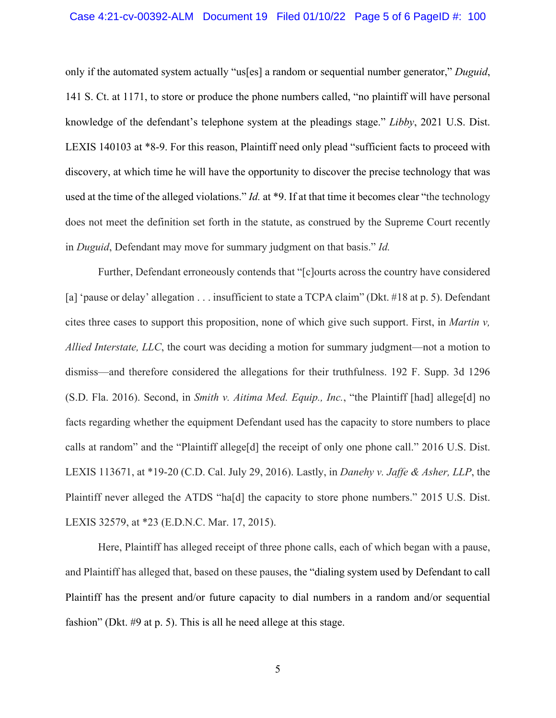only if the automated system actually "us[es] a random or sequential number generator," *Duguid*, 141 S. Ct. at 1171, to store or produce the phone numbers called, "no plaintiff will have personal knowledge of the defendant's telephone system at the pleadings stage." *Libby*, 2021 U.S. Dist. LEXIS 140103 at \*8-9. For this reason, Plaintiff need only plead "sufficient facts to proceed with discovery, at which time he will have the opportunity to discover the precise technology that was used at the time of the alleged violations." *Id.* at \*9. If at that time it becomes clear "the technology does not meet the definition set forth in the statute, as construed by the Supreme Court recently in *Duguid*, Defendant may move for summary judgment on that basis." *Id.* 

Further, Defendant erroneously contends that "[c]ourts across the country have considered [a] 'pause or delay' allegation . . . insufficient to state a TCPA claim" (Dkt. #18 at p. 5). Defendant cites three cases to support this proposition, none of which give such support. First, in *Martin v, Allied Interstate, LLC*, the court was deciding a motion for summary judgment—not a motion to dismiss—and therefore considered the allegations for their truthfulness. 192 F. Supp. 3d 1296 (S.D. Fla. 2016). Second, in *Smith v. Aitima Med. Equip., Inc.*, "the Plaintiff [had] allege[d] no facts regarding whether the equipment Defendant used has the capacity to store numbers to place calls at random" and the "Plaintiff allege[d] the receipt of only one phone call." 2016 U.S. Dist. LEXIS 113671, at \*19-20 (C.D. Cal. July 29, 2016). Lastly, in *Danehy v. Jaffe & Asher, LLP*, the Plaintiff never alleged the ATDS "ha[d] the capacity to store phone numbers." 2015 U.S. Dist. LEXIS 32579, at \*23 (E.D.N.C. Mar. 17, 2015).

Here, Plaintiff has alleged receipt of three phone calls, each of which began with a pause, and Plaintiff has alleged that, based on these pauses, the "dialing system used by Defendant to call Plaintiff has the present and/or future capacity to dial numbers in a random and/or sequential fashion" (Dkt. #9 at p. 5). This is all he need allege at this stage.